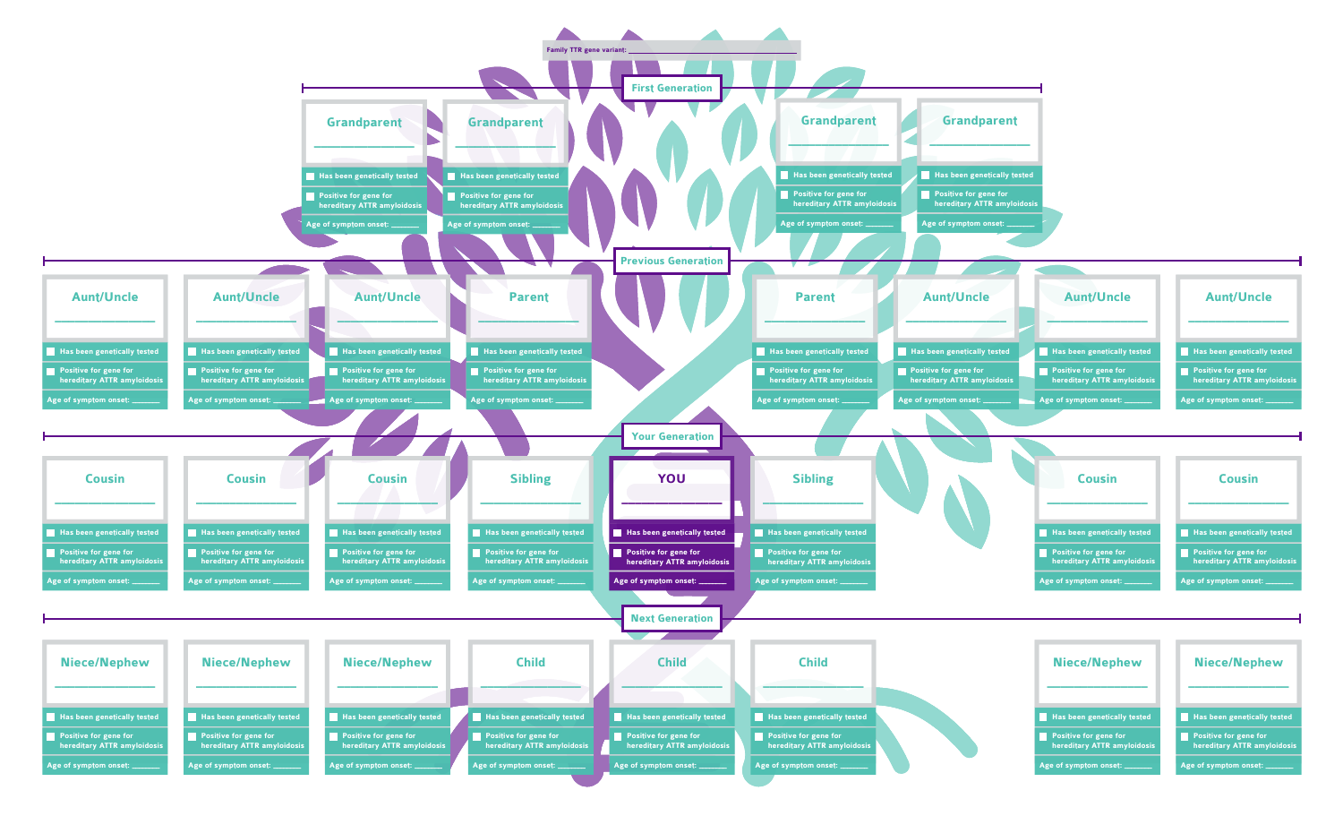